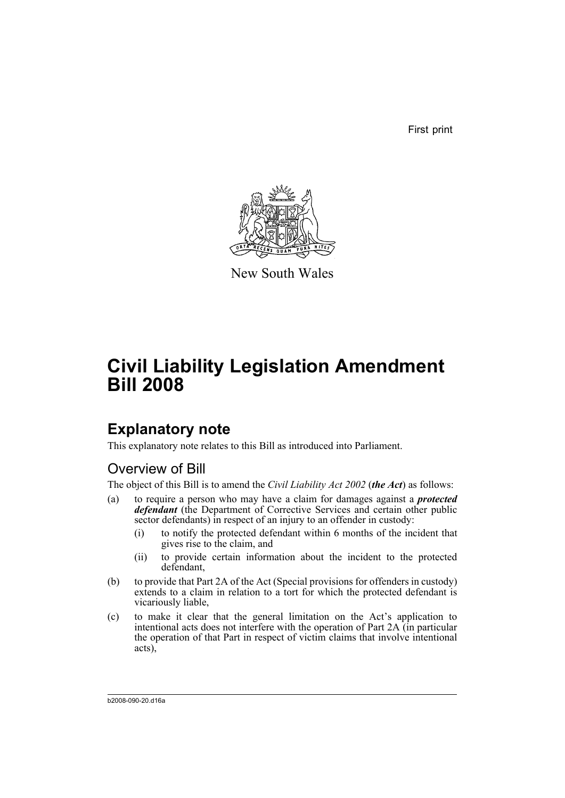First print



New South Wales

# **Civil Liability Legislation Amendment Bill 2008**

# **Explanatory note**

This explanatory note relates to this Bill as introduced into Parliament.

# Overview of Bill

The object of this Bill is to amend the *Civil Liability Act 2002* (*the Act*) as follows:

- (a) to require a person who may have a claim for damages against a *protected defendant* (the Department of Corrective Services and certain other public sector defendants) in respect of an injury to an offender in custody:
	- (i) to notify the protected defendant within 6 months of the incident that gives rise to the claim, and
	- (ii) to provide certain information about the incident to the protected defendant,
- (b) to provide that Part 2A of the Act (Special provisions for offenders in custody) extends to a claim in relation to a tort for which the protected defendant is vicariously liable,
- (c) to make it clear that the general limitation on the Act's application to intentional acts does not interfere with the operation of Part 2A (in particular the operation of that Part in respect of victim claims that involve intentional acts),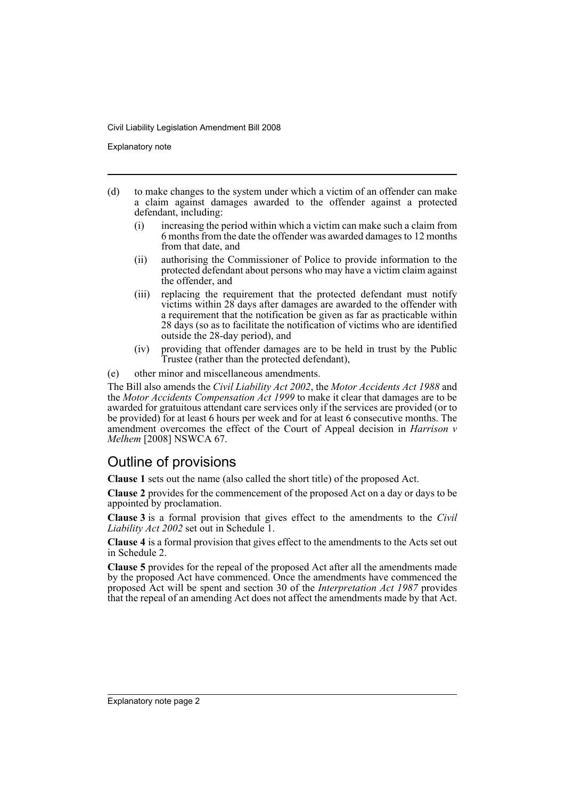Explanatory note

- (d) to make changes to the system under which a victim of an offender can make a claim against damages awarded to the offender against a protected defendant, including:
	- (i) increasing the period within which a victim can make such a claim from 6 months from the date the offender was awarded damages to 12 months from that date, and
	- (ii) authorising the Commissioner of Police to provide information to the protected defendant about persons who may have a victim claim against the offender, and
	- (iii) replacing the requirement that the protected defendant must notify victims within 28 days after damages are awarded to the offender with a requirement that the notification be given as far as practicable within 28 days (so as to facilitate the notification of victims who are identified outside the 28-day period), and
	- (iv) providing that offender damages are to be held in trust by the Public Trustee (rather than the protected defendant),
- (e) other minor and miscellaneous amendments.

The Bill also amends the *Civil Liability Act 2002*, the *Motor Accidents Act 1988* and the *Motor Accidents Compensation Act 1999* to make it clear that damages are to be awarded for gratuitous attendant care services only if the services are provided (or to be provided) for at least 6 hours per week and for at least 6 consecutive months. The amendment overcomes the effect of the Court of Appeal decision in *Harrison v Melhem* [2008] NSWCA 67.

# Outline of provisions

**Clause 1** sets out the name (also called the short title) of the proposed Act.

**Clause 2** provides for the commencement of the proposed Act on a day or days to be appointed by proclamation.

**Clause 3** is a formal provision that gives effect to the amendments to the *Civil Liability Act 2002* set out in Schedule 1.

**Clause 4** is a formal provision that gives effect to the amendments to the Acts set out in Schedule 2.

**Clause 5** provides for the repeal of the proposed Act after all the amendments made by the proposed Act have commenced. Once the amendments have commenced the proposed Act will be spent and section 30 of the *Interpretation Act 1987* provides that the repeal of an amending Act does not affect the amendments made by that Act.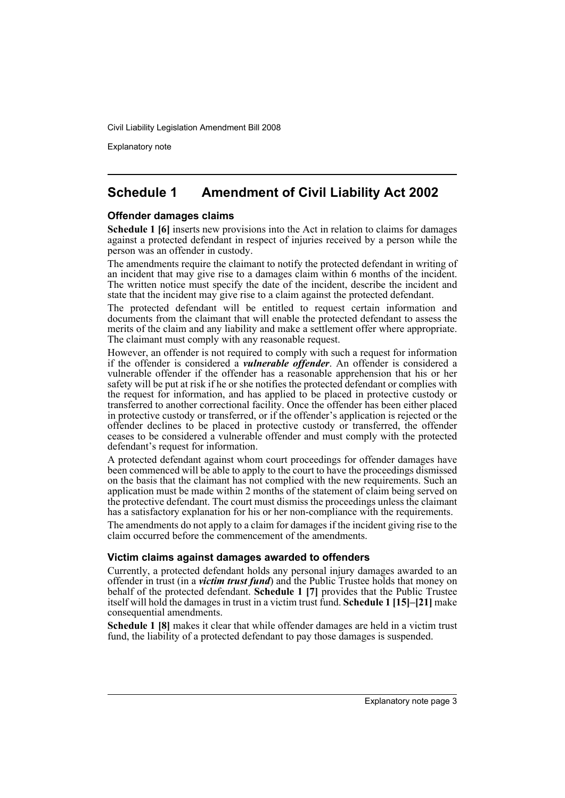Explanatory note

# **Schedule 1 Amendment of Civil Liability Act 2002**

### **Offender damages claims**

**Schedule 1 [6]** inserts new provisions into the Act in relation to claims for damages against a protected defendant in respect of injuries received by a person while the person was an offender in custody.

The amendments require the claimant to notify the protected defendant in writing of an incident that may give rise to a damages claim within 6 months of the incident. The written notice must specify the date of the incident, describe the incident and state that the incident may give rise to a claim against the protected defendant.

The protected defendant will be entitled to request certain information and documents from the claimant that will enable the protected defendant to assess the merits of the claim and any liability and make a settlement offer where appropriate. The claimant must comply with any reasonable request.

However, an offender is not required to comply with such a request for information if the offender is considered a *vulnerable offender*. An offender is considered a vulnerable offender if the offender has a reasonable apprehension that his or her safety will be put at risk if he or she notifies the protected defendant or complies with the request for information, and has applied to be placed in protective custody or transferred to another correctional facility. Once the offender has been either placed in protective custody or transferred, or if the offender's application is rejected or the offender declines to be placed in protective custody or transferred, the offender ceases to be considered a vulnerable offender and must comply with the protected defendant's request for information.

A protected defendant against whom court proceedings for offender damages have been commenced will be able to apply to the court to have the proceedings dismissed on the basis that the claimant has not complied with the new requirements. Such an application must be made within 2 months of the statement of claim being served on the protective defendant. The court must dismiss the proceedings unless the claimant has a satisfactory explanation for his or her non-compliance with the requirements.

The amendments do not apply to a claim for damages if the incident giving rise to the claim occurred before the commencement of the amendments.

### **Victim claims against damages awarded to offenders**

Currently, a protected defendant holds any personal injury damages awarded to an offender in trust (in a *victim trust fund*) and the Public Trustee holds that money on behalf of the protected defendant. **Schedule 1 [7]** provides that the Public Trustee itself will hold the damages in trust in a victim trust fund. **Schedule 1 [15]–[21]** make consequential amendments.

**Schedule 1 [8]** makes it clear that while offender damages are held in a victim trust fund, the liability of a protected defendant to pay those damages is suspended.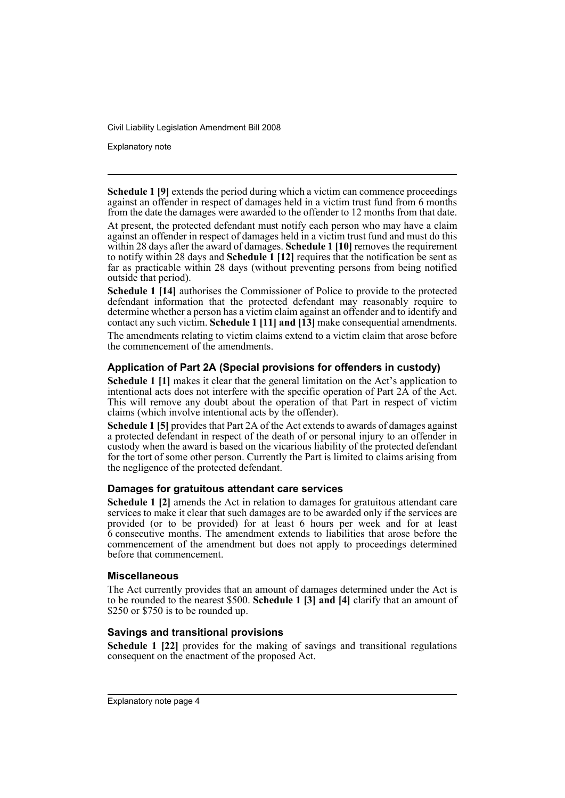Explanatory note

**Schedule 1 [9]** extends the period during which a victim can commence proceedings against an offender in respect of damages held in a victim trust fund from 6 months from the date the damages were awarded to the offender to 12 months from that date.

At present, the protected defendant must notify each person who may have a claim against an offender in respect of damages held in a victim trust fund and must do this within 28 days after the award of damages. **Schedule 1 [10]** removes the requirement to notify within 28 days and **Schedule 1 [12]** requires that the notification be sent as far as practicable within 28 days (without preventing persons from being notified outside that period).

**Schedule 1 [14]** authorises the Commissioner of Police to provide to the protected defendant information that the protected defendant may reasonably require to determine whether a person has a victim claim against an offender and to identify and contact any such victim. **Schedule 1 [11] and [13]** make consequential amendments. The amendments relating to victim claims extend to a victim claim that arose before the commencement of the amendments.

## **Application of Part 2A (Special provisions for offenders in custody)**

**Schedule 1 [1]** makes it clear that the general limitation on the Act's application to intentional acts does not interfere with the specific operation of Part  $2\hat{A}$  of the Act. This will remove any doubt about the operation of that Part in respect of victim claims (which involve intentional acts by the offender).

**Schedule 1 [5]** provides that Part 2A of the Act extends to awards of damages against a protected defendant in respect of the death of or personal injury to an offender in custody when the award is based on the vicarious liability of the protected defendant for the tort of some other person. Currently the Part is limited to claims arising from the negligence of the protected defendant.

## **Damages for gratuitous attendant care services**

**Schedule 1 [2]** amends the Act in relation to damages for gratuitous attendant care services to make it clear that such damages are to be awarded only if the services are provided (or to be provided) for at least 6 hours per week and for at least 6 consecutive months. The amendment extends to liabilities that arose before the commencement of the amendment but does not apply to proceedings determined before that commencement.

### **Miscellaneous**

The Act currently provides that an amount of damages determined under the Act is to be rounded to the nearest \$500. **Schedule 1 [3] and [4]** clarify that an amount of \$250 or \$750 is to be rounded up.

## **Savings and transitional provisions**

**Schedule 1 [22]** provides for the making of savings and transitional regulations consequent on the enactment of the proposed Act.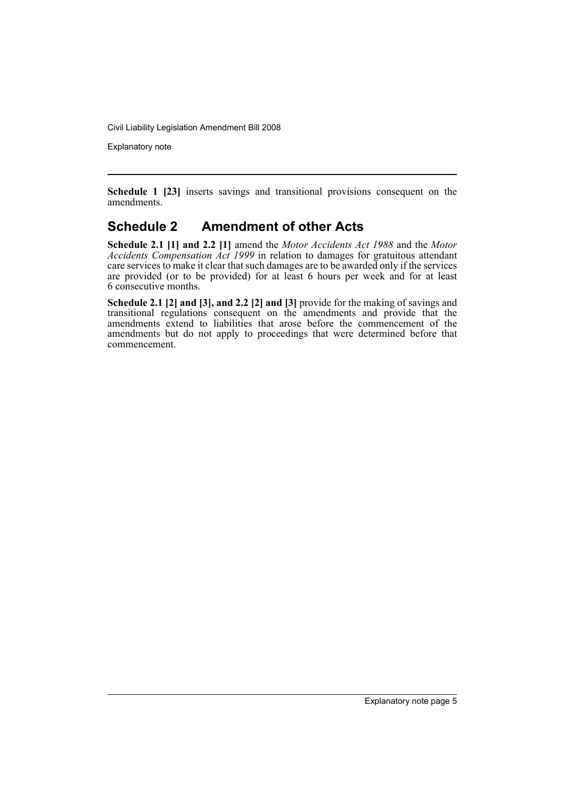Explanatory note

**Schedule 1 [23]** inserts savings and transitional provisions consequent on the amendments.

## **Schedule 2 Amendment of other Acts**

**Schedule 2.1 [1] and 2.2 [1]** amend the *Motor Accidents Act 1988* and the *Motor Accidents Compensation Act 1999* in relation to damages for gratuitous attendant care services to make it clear that such damages are to be awarded only if the services are provided (or to be provided) for at least 6 hours per week and for at least 6 consecutive months.

**Schedule 2.1 [2] and [3], and 2.2 [2] and [3]** provide for the making of savings and transitional regulations consequent on the amendments and provide that the amendments extend to liabilities that arose before the commencement of the amendments but do not apply to proceedings that were determined before that commencement.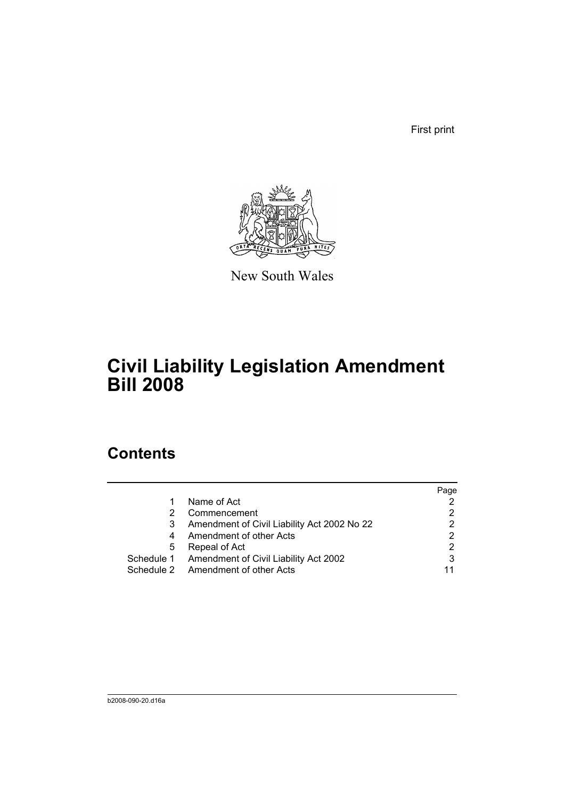First print



New South Wales

# **Civil Liability Legislation Amendment Bill 2008**

# **Contents**

|   |                                                  | Page |
|---|--------------------------------------------------|------|
| 1 | Name of Act                                      |      |
|   | Commencement                                     |      |
| 3 | Amendment of Civil Liability Act 2002 No 22      |      |
| 4 | Amendment of other Acts                          | 2    |
| 5 | Repeal of Act                                    |      |
|   | Schedule 1 Amendment of Civil Liability Act 2002 | 3    |
|   | Schedule 2 Amendment of other Acts               | 11   |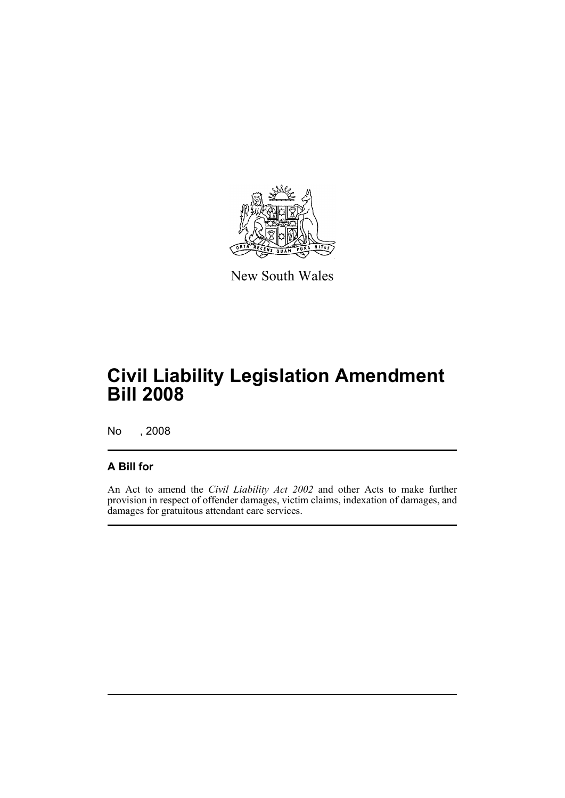

New South Wales

# **Civil Liability Legislation Amendment Bill 2008**

No , 2008

## **A Bill for**

An Act to amend the *Civil Liability Act 2002* and other Acts to make further provision in respect of offender damages, victim claims, indexation of damages, and damages for gratuitous attendant care services.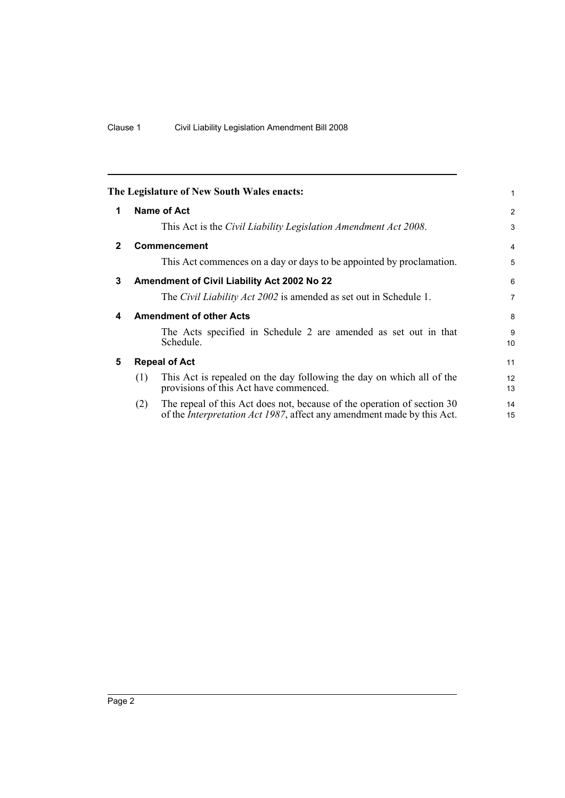<span id="page-9-4"></span><span id="page-9-3"></span><span id="page-9-2"></span><span id="page-9-1"></span><span id="page-9-0"></span>

|              |     | The Legislature of New South Wales enacts:                                                                                                                | 1                     |
|--------------|-----|-----------------------------------------------------------------------------------------------------------------------------------------------------------|-----------------------|
| 1            |     | Name of Act                                                                                                                                               | 2                     |
|              |     | This Act is the Civil Liability Legislation Amendment Act 2008.                                                                                           | 3                     |
| $\mathbf{2}$ |     | Commencement                                                                                                                                              | 4                     |
|              |     | This Act commences on a day or days to be appointed by proclamation.                                                                                      | 5                     |
| 3            |     | Amendment of Civil Liability Act 2002 No 22                                                                                                               | 6                     |
|              |     | The <i>Civil Liability Act 2002</i> is amended as set out in Schedule 1.                                                                                  | $\overline{7}$        |
| 4            |     | <b>Amendment of other Acts</b>                                                                                                                            | 8                     |
|              |     | The Acts specified in Schedule 2 are amended as set out in that<br>Schedule.                                                                              | 9<br>10               |
| 5            |     | <b>Repeal of Act</b>                                                                                                                                      | 11                    |
|              | (1) | This Act is repealed on the day following the day on which all of the<br>provisions of this Act have commenced.                                           | 12 <sup>2</sup><br>13 |
|              | (2) | The repeal of this Act does not, because of the operation of section 30<br>of the <i>Interpretation Act 1987</i> , affect any amendment made by this Act. | 14<br>15              |
|              |     |                                                                                                                                                           |                       |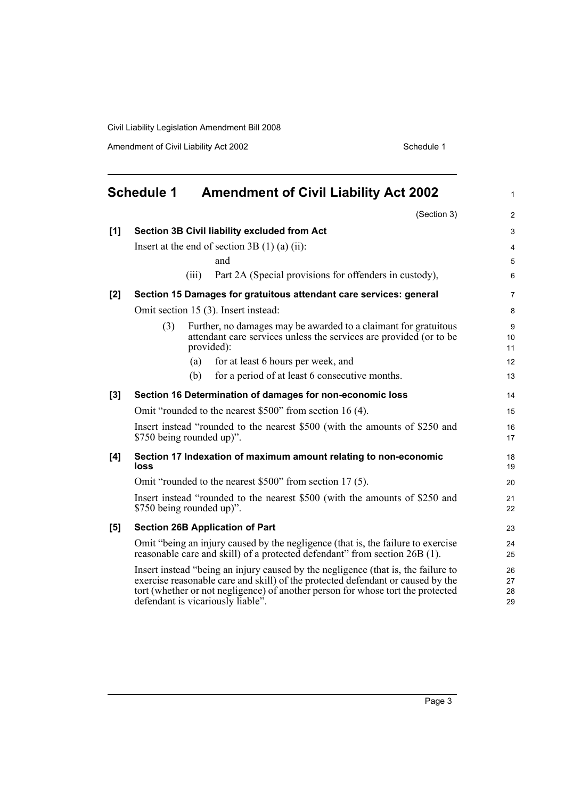Amendment of Civil Liability Act 2002 Schedule 1

<span id="page-10-0"></span>

|       | <b>Schedule 1</b><br><b>Amendment of Civil Liability Act 2002</b>                                                                                                                                                                                                                            | $\mathbf{1}$         |
|-------|----------------------------------------------------------------------------------------------------------------------------------------------------------------------------------------------------------------------------------------------------------------------------------------------|----------------------|
|       | (Section 3)                                                                                                                                                                                                                                                                                  | 2                    |
| [1]   | Section 3B Civil liability excluded from Act                                                                                                                                                                                                                                                 | 3                    |
|       | Insert at the end of section $3B(1)(a)(ii)$ :                                                                                                                                                                                                                                                | 4                    |
|       | and                                                                                                                                                                                                                                                                                          | 5                    |
|       | Part 2A (Special provisions for offenders in custody),<br>(iii)                                                                                                                                                                                                                              | 6                    |
| $[2]$ | Section 15 Damages for gratuitous attendant care services: general                                                                                                                                                                                                                           | $\overline{7}$       |
|       | Omit section 15 (3). Insert instead:                                                                                                                                                                                                                                                         | 8                    |
|       | (3)<br>Further, no damages may be awarded to a claimant for gratuitous<br>attendant care services unless the services are provided (or to be<br>provided):                                                                                                                                   | 9<br>10<br>11        |
|       | (a)<br>for at least 6 hours per week, and                                                                                                                                                                                                                                                    | 12                   |
|       | (b)<br>for a period of at least 6 consecutive months.                                                                                                                                                                                                                                        | 13                   |
| $[3]$ | Section 16 Determination of damages for non-economic loss                                                                                                                                                                                                                                    | 14                   |
|       | Omit "rounded to the nearest \$500" from section 16 (4).                                                                                                                                                                                                                                     | 15                   |
|       | Insert instead "rounded to the nearest \$500 (with the amounts of \$250 and<br>\$750 being rounded up)".                                                                                                                                                                                     | 16<br>17             |
| [4]   | Section 17 Indexation of maximum amount relating to non-economic<br>loss                                                                                                                                                                                                                     | 18<br>19             |
|       | Omit "rounded to the nearest \$500" from section 17(5).                                                                                                                                                                                                                                      | 20                   |
|       | Insert instead "rounded to the nearest \$500 (with the amounts of \$250 and<br>\$750 being rounded up)".                                                                                                                                                                                     | 21<br>22             |
| [5]   | <b>Section 26B Application of Part</b>                                                                                                                                                                                                                                                       | 23                   |
|       | Omit "being an injury caused by the negligence (that is, the failure to exercise<br>reasonable care and skill) of a protected defendant" from section 26B (1).                                                                                                                               | 24<br>25             |
|       | Insert instead "being an injury caused by the negligence (that is, the failure to<br>exercise reasonable care and skill) of the protected defendant or caused by the<br>tort (whether or not negligence) of another person for whose tort the protected<br>defendant is vicariously liable". | 26<br>27<br>28<br>29 |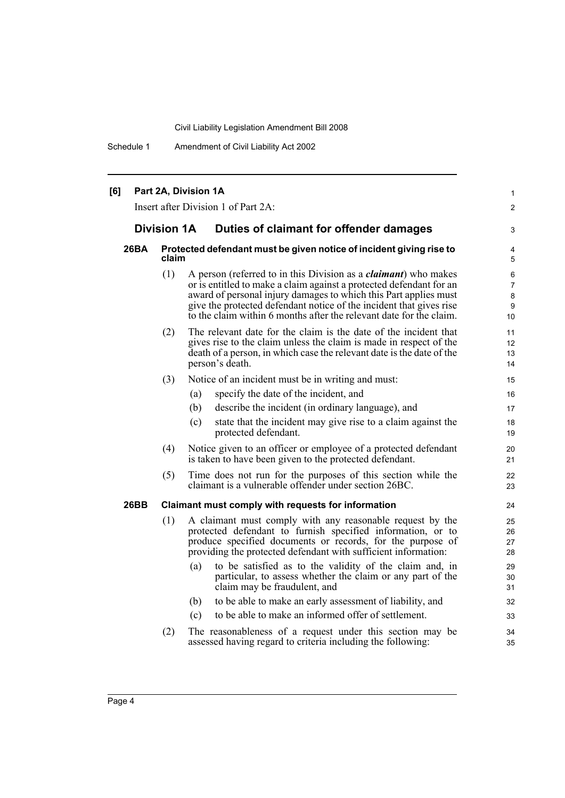Schedule 1 Amendment of Civil Liability Act 2002

| [6] |                                                                                      |                    | Part 2A, Division 1A<br>Insert after Division 1 of Part 2A:                                                                                                                                                                                                                                                                                                      | 1<br>$\mathbf{2}$                                |
|-----|--------------------------------------------------------------------------------------|--------------------|------------------------------------------------------------------------------------------------------------------------------------------------------------------------------------------------------------------------------------------------------------------------------------------------------------------------------------------------------------------|--------------------------------------------------|
|     |                                                                                      | <b>Division 1A</b> | Duties of claimant for offender damages                                                                                                                                                                                                                                                                                                                          | 3                                                |
|     | 26BA<br>Protected defendant must be given notice of incident giving rise to<br>claim |                    |                                                                                                                                                                                                                                                                                                                                                                  | 4<br>5                                           |
|     |                                                                                      | (1)                | A person (referred to in this Division as a <i>claimant</i> ) who makes<br>or is entitled to make a claim against a protected defendant for an<br>award of personal injury damages to which this Part applies must<br>give the protected defendant notice of the incident that gives rise<br>to the claim within 6 months after the relevant date for the claim. | 6<br>$\overline{7}$<br>8<br>9<br>10 <sup>1</sup> |
|     |                                                                                      | (2)                | The relevant date for the claim is the date of the incident that<br>gives rise to the claim unless the claim is made in respect of the<br>death of a person, in which case the relevant date is the date of the<br>person's death.                                                                                                                               | 11<br>12<br>13<br>14                             |
|     |                                                                                      | (3)                | Notice of an incident must be in writing and must:                                                                                                                                                                                                                                                                                                               | 15                                               |
|     |                                                                                      |                    | (a)<br>specify the date of the incident, and                                                                                                                                                                                                                                                                                                                     | 16                                               |
|     |                                                                                      |                    | (b)<br>describe the incident (in ordinary language), and                                                                                                                                                                                                                                                                                                         | 17                                               |
|     |                                                                                      |                    | state that the incident may give rise to a claim against the<br>(c)<br>protected defendant.                                                                                                                                                                                                                                                                      | 18<br>19                                         |
|     |                                                                                      | (4)                | Notice given to an officer or employee of a protected defendant<br>is taken to have been given to the protected defendant.                                                                                                                                                                                                                                       | 20<br>21                                         |
|     |                                                                                      | (5)                | Time does not run for the purposes of this section while the<br>claimant is a vulnerable offender under section 26BC.                                                                                                                                                                                                                                            | 22<br>23                                         |
|     | 26BB                                                                                 |                    | Claimant must comply with requests for information                                                                                                                                                                                                                                                                                                               | 24                                               |
|     |                                                                                      | (1)                | A claimant must comply with any reasonable request by the<br>protected defendant to furnish specified information, or to<br>produce specified documents or records, for the purpose of<br>providing the protected defendant with sufficient information:                                                                                                         | 25<br>26<br>27<br>28                             |
|     |                                                                                      |                    | to be satisfied as to the validity of the claim and, in<br>(a)<br>particular, to assess whether the claim or any part of the<br>claim may be fraudulent, and                                                                                                                                                                                                     | 29<br>30<br>31                                   |
|     |                                                                                      |                    | to be able to make an early assessment of liability, and<br>(b)                                                                                                                                                                                                                                                                                                  | 32                                               |
|     |                                                                                      |                    | to be able to make an informed offer of settlement.<br>(c)                                                                                                                                                                                                                                                                                                       | 33                                               |
|     |                                                                                      | (2)                | The reasonableness of a request under this section may be<br>assessed having regard to criteria including the following:                                                                                                                                                                                                                                         | 34<br>35                                         |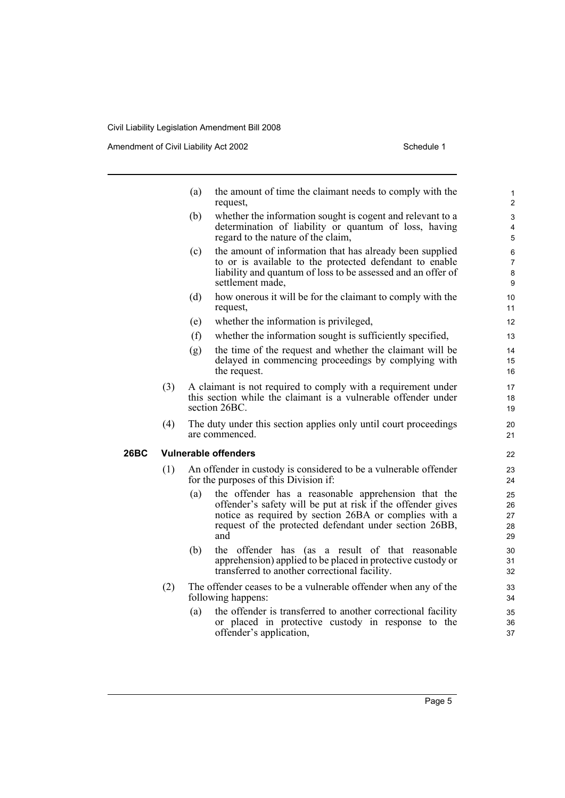Amendment of Civil Liability Act 2002 Schedule 1

- (a) the amount of time the claimant needs to comply with the request,
- (b) whether the information sought is cogent and relevant to a determination of liability or quantum of loss, having regard to the nature of the claim,
- (c) the amount of information that has already been supplied to or is available to the protected defendant to enable liability and quantum of loss to be assessed and an offer of settlement made,
- (d) how onerous it will be for the claimant to comply with the request,
- (e) whether the information is privileged,
- (f) whether the information sought is sufficiently specified,
- (g) the time of the request and whether the claimant will be delayed in commencing proceedings by complying with the request.
- (3) A claimant is not required to comply with a requirement under this section while the claimant is a vulnerable offender under section 26BC.
- (4) The duty under this section applies only until court proceedings are commenced.

### **26BC Vulnerable offenders**

- (1) An offender in custody is considered to be a vulnerable offender for the purposes of this Division if:
	- (a) the offender has a reasonable apprehension that the offender's safety will be put at risk if the offender gives notice as required by section 26BA or complies with a request of the protected defendant under section 26BB, and
	- (b) the offender has (as a result of that reasonable apprehension) applied to be placed in protective custody or transferred to another correctional facility.
- (2) The offender ceases to be a vulnerable offender when any of the following happens:
	- (a) the offender is transferred to another correctional facility or placed in protective custody in response to the offender's application,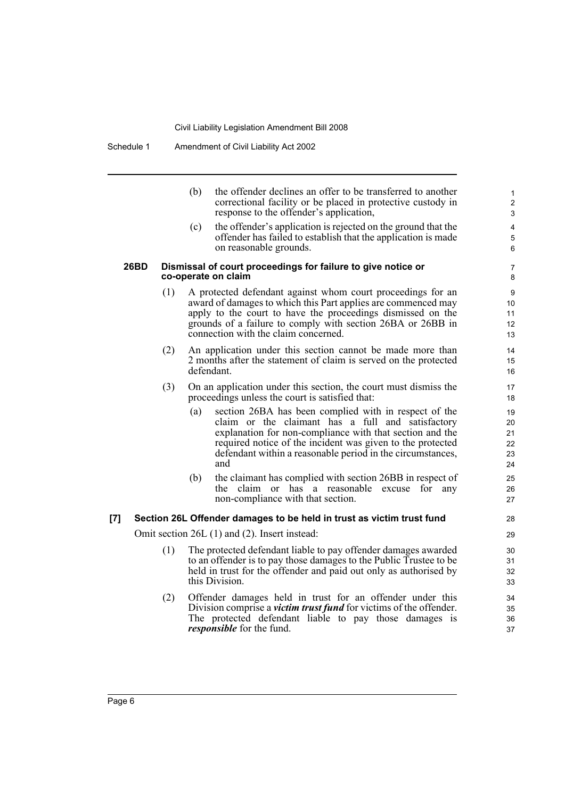| (b) | the offender declines an offer to be transferred to another |
|-----|-------------------------------------------------------------|
|     | correctional facility or be placed in protective custody in |
|     | response to the offender's application,                     |
|     |                                                             |

(c) the offender's application is rejected on the ground that the offender has failed to establish that the application is made on reasonable grounds.

#### **26BD Dismissal of court proceedings for failure to give notice or co-operate on claim**

- (1) A protected defendant against whom court proceedings for an award of damages to which this Part applies are commenced may apply to the court to have the proceedings dismissed on the grounds of a failure to comply with section 26BA or 26BB in connection with the claim concerned.
- (2) An application under this section cannot be made more than 2 months after the statement of claim is served on the protected defendant.
- (3) On an application under this section, the court must dismiss the proceedings unless the court is satisfied that:
	- (a) section 26BA has been complied with in respect of the claim or the claimant has a full and satisfactory explanation for non-compliance with that section and the required notice of the incident was given to the protected defendant within a reasonable period in the circumstances, and
	- (b) the claimant has complied with section 26BB in respect of the claim or has a reasonable excuse for any non-compliance with that section.

#### **[7] Section 26L Offender damages to be held in trust as victim trust fund**

Omit section 26L (1) and (2). Insert instead:

- (1) The protected defendant liable to pay offender damages awarded to an offender is to pay those damages to the Public Trustee to be held in trust for the offender and paid out only as authorised by this Division.
- (2) Offender damages held in trust for an offender under this Division comprise a *victim trust fund* for victims of the offender. The protected defendant liable to pay those damages is *responsible* for the fund.

> 36 37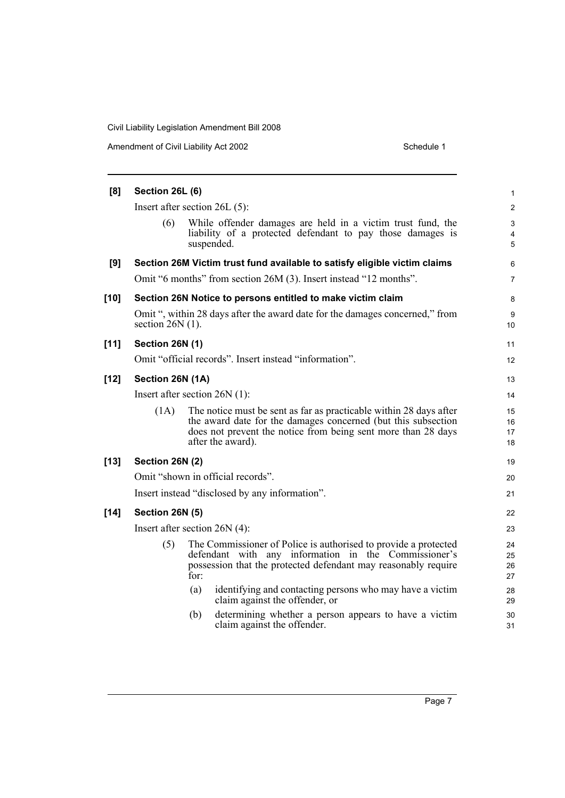| Amendment of Civil Liability Act 2002 | Schedule 1 |
|---------------------------------------|------------|
|---------------------------------------|------------|

| [8]    | Section 26L (6)        |                                                                                                                                                                                                                           |                          |
|--------|------------------------|---------------------------------------------------------------------------------------------------------------------------------------------------------------------------------------------------------------------------|--------------------------|
|        |                        | Insert after section $26L(5)$ :                                                                                                                                                                                           | 2                        |
|        | (6)                    | While offender damages are held in a victim trust fund, the<br>liability of a protected defendant to pay those damages is<br>suspended.                                                                                   | 3<br>$\overline{4}$<br>5 |
| [9]    |                        | Section 26M Victim trust fund available to satisfy eligible victim claims                                                                                                                                                 | 6                        |
|        |                        | Omit "6 months" from section 26M (3). Insert instead "12 months".                                                                                                                                                         | $\overline{7}$           |
| [10]   |                        | Section 26N Notice to persons entitled to make victim claim                                                                                                                                                               | 8                        |
|        | section $26N(1)$ .     | Omit ", within 28 days after the award date for the damages concerned," from                                                                                                                                              | 9<br>10                  |
| $[11]$ | Section 26N (1)        |                                                                                                                                                                                                                           | 11                       |
|        |                        | Omit "official records". Insert instead "information".                                                                                                                                                                    | 12                       |
| $[12]$ | Section 26N (1A)       |                                                                                                                                                                                                                           | 13                       |
|        |                        | Insert after section $26N(1)$ :                                                                                                                                                                                           | 14                       |
|        | (1A)                   | The notice must be sent as far as practicable within 28 days after<br>the award date for the damages concerned (but this subsection<br>does not prevent the notice from being sent more than 28 days<br>after the award). | 15<br>16<br>17<br>18     |
| [13]   | Section 26N (2)        |                                                                                                                                                                                                                           | 19                       |
|        |                        | Omit "shown in official records".                                                                                                                                                                                         | 20                       |
|        |                        | Insert instead "disclosed by any information".                                                                                                                                                                            | 21                       |
| [14]   | <b>Section 26N (5)</b> |                                                                                                                                                                                                                           | 22                       |
|        |                        | Insert after section $26N(4)$ :                                                                                                                                                                                           | 23                       |
|        | (5)                    | The Commissioner of Police is authorised to provide a protected<br>defendant with any information in the Commissioner's<br>possession that the protected defendant may reasonably require<br>for:                         | 24<br>25<br>26<br>27     |
|        |                        | identifying and contacting persons who may have a victim<br>(a)<br>claim against the offender, or                                                                                                                         | 28<br>29                 |
|        |                        | determining whether a person appears to have a victim<br>(b)<br>claim against the offender.                                                                                                                               | 30<br>31                 |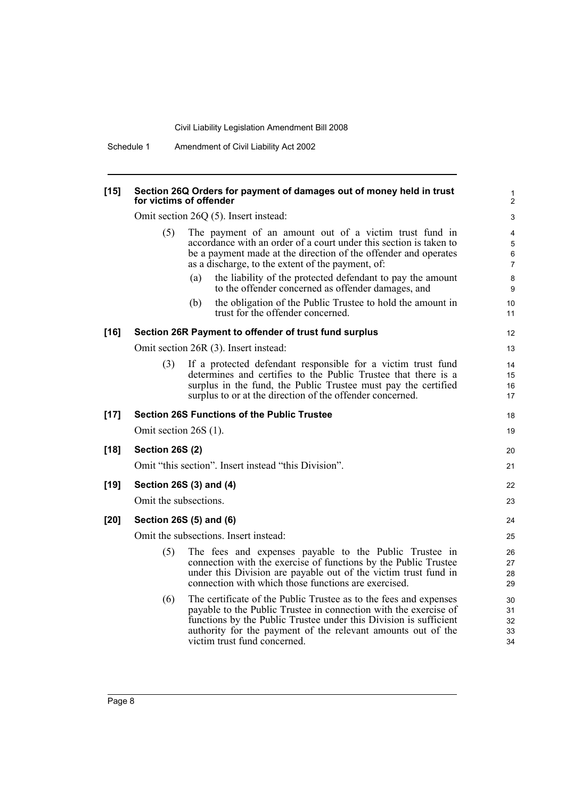Schedule 1 Amendment of Civil Liability Act 2002

| [15] | Section 26Q Orders for payment of damages out of money held in trust<br>for victims of offender |
|------|-------------------------------------------------------------------------------------------------|
|      | $Omit$ contion $26O(5)$ Incort incread.                                                         |

1 2

|        | Omit section 26Q (5). Insert instead: |                                                                                                                                                                                                                                                                                                            |                                         |
|--------|---------------------------------------|------------------------------------------------------------------------------------------------------------------------------------------------------------------------------------------------------------------------------------------------------------------------------------------------------------|-----------------------------------------|
|        | (5)                                   | The payment of an amount out of a victim trust fund in<br>accordance with an order of a court under this section is taken to<br>be a payment made at the direction of the offender and operates<br>as a discharge, to the extent of the payment, of:                                                       | 4<br>$\mathbf 5$<br>6<br>$\overline{7}$ |
|        |                                       | the liability of the protected defendant to pay the amount<br>(a)<br>to the offender concerned as offender damages, and                                                                                                                                                                                    | 8<br>9                                  |
|        |                                       | the obligation of the Public Trustee to hold the amount in<br>(b)<br>trust for the offender concerned.                                                                                                                                                                                                     | 10 <sup>°</sup><br>11                   |
| $[16]$ |                                       | Section 26R Payment to offender of trust fund surplus                                                                                                                                                                                                                                                      | 12 <sup>2</sup>                         |
|        |                                       | Omit section 26R (3). Insert instead:                                                                                                                                                                                                                                                                      | 13                                      |
|        | (3)                                   | If a protected defendant responsible for a victim trust fund<br>determines and certifies to the Public Trustee that there is a<br>surplus in the fund, the Public Trustee must pay the certified<br>surplus to or at the direction of the offender concerned.                                              | 14<br>15<br>16<br>17                    |
| $[17]$ |                                       | <b>Section 26S Functions of the Public Trustee</b>                                                                                                                                                                                                                                                         | 18                                      |
|        | Omit section 26S (1).                 |                                                                                                                                                                                                                                                                                                            | 19                                      |
| $[18]$ | <b>Section 26S (2)</b>                |                                                                                                                                                                                                                                                                                                            | 20                                      |
|        |                                       | Omit "this section". Insert instead "this Division".                                                                                                                                                                                                                                                       | 21                                      |
| [19]   |                                       | Section 26S (3) and (4)                                                                                                                                                                                                                                                                                    | 22                                      |
|        | Omit the subsections.                 |                                                                                                                                                                                                                                                                                                            | 23                                      |
| [20]   |                                       | Section 26S (5) and (6)                                                                                                                                                                                                                                                                                    | 24                                      |
|        |                                       | Omit the subsections. Insert instead:                                                                                                                                                                                                                                                                      | 25                                      |
|        | (5)                                   | The fees and expenses payable to the Public Trustee in<br>connection with the exercise of functions by the Public Trustee<br>under this Division are payable out of the victim trust fund in<br>connection with which those functions are exercised.                                                       | 26<br>27<br>28<br>29                    |
|        | (6)                                   | The certificate of the Public Trustee as to the fees and expenses<br>payable to the Public Trustee in connection with the exercise of<br>functions by the Public Trustee under this Division is sufficient<br>authority for the payment of the relevant amounts out of the<br>victim trust fund concerned. | 30<br>31<br>32<br>33<br>34              |
|        |                                       |                                                                                                                                                                                                                                                                                                            |                                         |

**[18] Section 26S (2)**

 $[19]$ 

[20]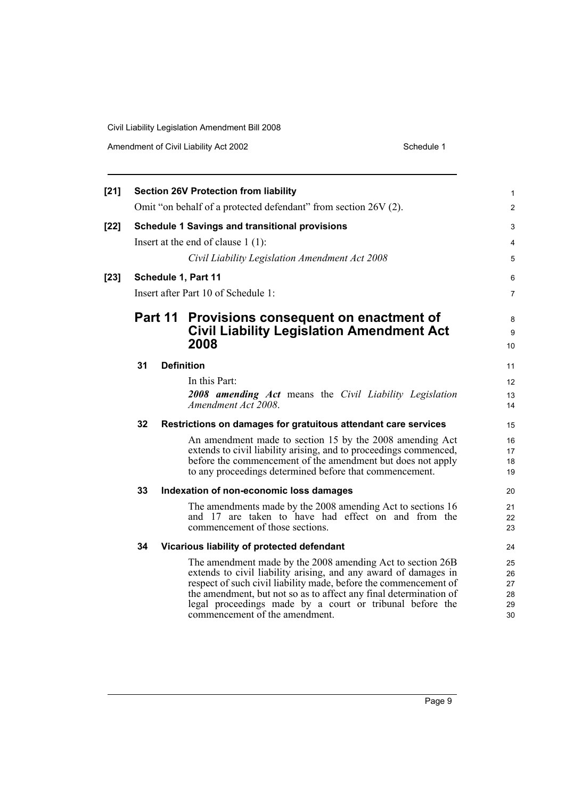| Amendment of Civil Liability Act 2002 | Schedule 1 |
|---------------------------------------|------------|
|---------------------------------------|------------|

| $[21]$ |    |         | <b>Section 26V Protection from liability</b>                                                                                                                                                                                                                                                                                                                         | 1                                |
|--------|----|---------|----------------------------------------------------------------------------------------------------------------------------------------------------------------------------------------------------------------------------------------------------------------------------------------------------------------------------------------------------------------------|----------------------------------|
|        |    |         | Omit "on behalf of a protected defendant" from section 26V (2).                                                                                                                                                                                                                                                                                                      | $\overline{2}$                   |
| $[22]$ |    |         | <b>Schedule 1 Savings and transitional provisions</b>                                                                                                                                                                                                                                                                                                                | 3                                |
|        |    |         | Insert at the end of clause $1(1)$ :                                                                                                                                                                                                                                                                                                                                 | 4                                |
|        |    |         | Civil Liability Legislation Amendment Act 2008                                                                                                                                                                                                                                                                                                                       | 5                                |
| $[23]$ |    |         | Schedule 1, Part 11                                                                                                                                                                                                                                                                                                                                                  | 6                                |
|        |    |         | Insert after Part 10 of Schedule 1:                                                                                                                                                                                                                                                                                                                                  | $\overline{7}$                   |
|        |    | Part 11 | Provisions consequent on enactment of<br><b>Civil Liability Legislation Amendment Act</b><br>2008                                                                                                                                                                                                                                                                    | 8<br>9<br>10                     |
|        | 31 |         | <b>Definition</b>                                                                                                                                                                                                                                                                                                                                                    | 11                               |
|        |    |         | In this Part:                                                                                                                                                                                                                                                                                                                                                        | 12                               |
|        |    |         | <b>2008 amending Act</b> means the Civil Liability Legislation<br>Amendment Act 2008.                                                                                                                                                                                                                                                                                | 13<br>14                         |
|        | 32 |         | Restrictions on damages for gratuitous attendant care services                                                                                                                                                                                                                                                                                                       | 15                               |
|        |    |         | An amendment made to section 15 by the 2008 amending Act<br>extends to civil liability arising, and to proceedings commenced,<br>before the commencement of the amendment but does not apply<br>to any proceedings determined before that commencement.                                                                                                              | 16<br>17<br>18<br>19             |
|        | 33 |         | Indexation of non-economic loss damages                                                                                                                                                                                                                                                                                                                              | 20                               |
|        |    |         | The amendments made by the 2008 amending Act to sections 16<br>and 17 are taken to have had effect on and from the<br>commencement of those sections.                                                                                                                                                                                                                | 21<br>22<br>23                   |
|        | 34 |         | Vicarious liability of protected defendant                                                                                                                                                                                                                                                                                                                           | 24                               |
|        |    |         | The amendment made by the 2008 amending Act to section 26B<br>extends to civil liability arising, and any award of damages in<br>respect of such civil liability made, before the commencement of<br>the amendment, but not so as to affect any final determination of<br>legal proceedings made by a court or tribunal before the<br>commencement of the amendment. | 25<br>26<br>27<br>28<br>29<br>30 |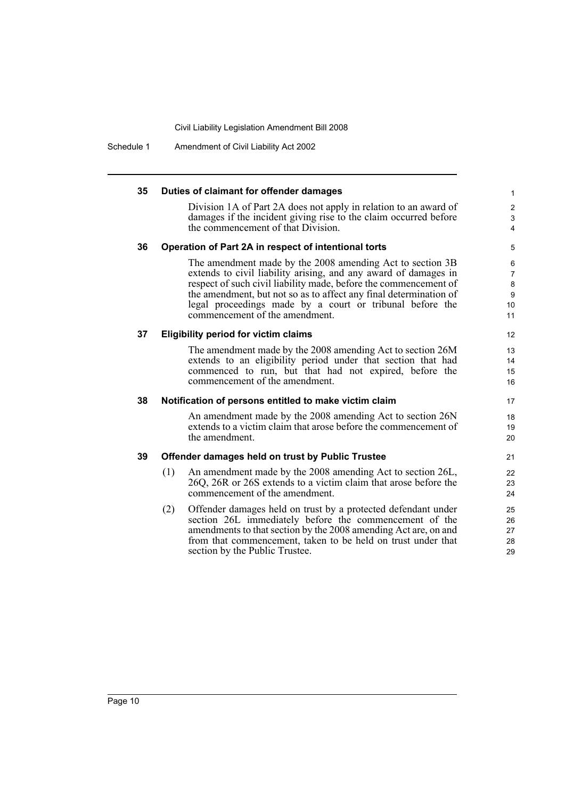Schedule 1 Amendment of Civil Liability Act 2002

#### **35 Duties of claimant for offender damages** Division 1A of Part 2A does not apply in relation to an award of damages if the incident giving rise to the claim occurred before the commencement of that Division. **36 Operation of Part 2A in respect of intentional torts** The amendment made by the 2008 amending Act to section 3B extends to civil liability arising, and any award of damages in respect of such civil liability made, before the commencement of the amendment, but not so as to affect any final determination of legal proceedings made by a court or tribunal before the commencement of the amendment. **37 Eligibility period for victim claims** The amendment made by the 2008 amending Act to section 26M extends to an eligibility period under that section that had commenced to run, but that had not expired, before the commencement of the amendment. **38 Notification of persons entitled to make victim claim** An amendment made by the 2008 amending Act to section 26N extends to a victim claim that arose before the commencement of the amendment. **39 Offender damages held on trust by Public Trustee** (1) An amendment made by the 2008 amending Act to section 26L, 26Q, 26R or 26S extends to a victim claim that arose before the commencement of the amendment. (2) Offender damages held on trust by a protected defendant under section 26L immediately before the commencement of the amendments to that section by the 2008 amending Act are, on and from that commencement, taken to be held on trust under that section by the Public Trustee. 1 2 3 4 5 6 7 8 9  $10$ 11 12 13 14 15 16 17 18 19 20 21 22 23 24 25 26 27 28 29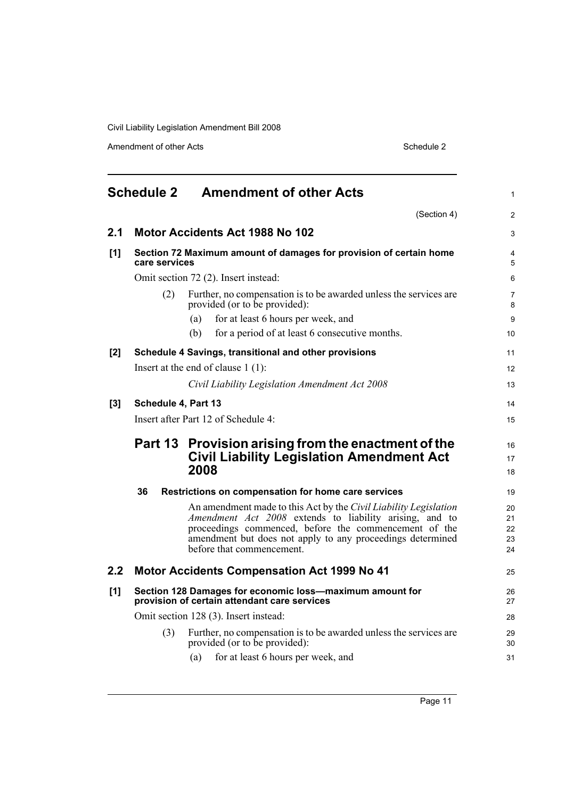Amendment of other Acts Schedule 2

<span id="page-18-0"></span>

|       | <b>Schedule 2</b>   | <b>Amendment of other Acts</b>                                                                                                                                                                                                                                                         | $\mathbf{1}$               |
|-------|---------------------|----------------------------------------------------------------------------------------------------------------------------------------------------------------------------------------------------------------------------------------------------------------------------------------|----------------------------|
|       |                     | (Section 4)                                                                                                                                                                                                                                                                            | $\overline{2}$             |
| 2.1   |                     | <b>Motor Accidents Act 1988 No 102</b>                                                                                                                                                                                                                                                 | 3                          |
| [1]   | care services       | Section 72 Maximum amount of damages for provision of certain home                                                                                                                                                                                                                     | 4<br>5                     |
|       |                     | Omit section 72 (2). Insert instead:                                                                                                                                                                                                                                                   | 6                          |
|       | (2)                 | Further, no compensation is to be awarded unless the services are<br>provided (or to be provided):                                                                                                                                                                                     | $\overline{7}$<br>8        |
|       |                     | for at least 6 hours per week, and<br>(a)                                                                                                                                                                                                                                              | 9                          |
|       |                     | for a period of at least 6 consecutive months.<br>(b)                                                                                                                                                                                                                                  | 10                         |
| [2]   |                     | Schedule 4 Savings, transitional and other provisions                                                                                                                                                                                                                                  | 11                         |
|       |                     | Insert at the end of clause $1(1)$ :                                                                                                                                                                                                                                                   | 12                         |
|       |                     | Civil Liability Legislation Amendment Act 2008                                                                                                                                                                                                                                         | 13                         |
| $[3]$ | Schedule 4, Part 13 |                                                                                                                                                                                                                                                                                        | 14                         |
|       |                     | Insert after Part 12 of Schedule 4:                                                                                                                                                                                                                                                    | 15                         |
|       |                     | Part 13 Provision arising from the enactment of the<br><b>Civil Liability Legislation Amendment Act</b><br>2008                                                                                                                                                                        | 16<br>17<br>18             |
|       | 36                  | Restrictions on compensation for home care services                                                                                                                                                                                                                                    | 19                         |
|       |                     | An amendment made to this Act by the Civil Liability Legislation<br><i>Amendment Act 2008</i> extends to liability arising, and to<br>proceedings commenced, before the commencement of the<br>amendment but does not apply to any proceedings determined<br>before that commencement. | 20<br>21<br>22<br>23<br>24 |
| 2.2   |                     | <b>Motor Accidents Compensation Act 1999 No 41</b>                                                                                                                                                                                                                                     | 25                         |
| [1]   |                     | Section 128 Damages for economic loss-maximum amount for<br>provision of certain attendant care services                                                                                                                                                                               | 26<br>27                   |
|       |                     | Omit section 128 (3). Insert instead:                                                                                                                                                                                                                                                  | 28                         |
|       | (3)                 | Further, no compensation is to be awarded unless the services are<br>provided (or to be provided):                                                                                                                                                                                     | 29<br>30                   |
|       |                     | for at least 6 hours per week, and<br>(a)                                                                                                                                                                                                                                              | 31                         |